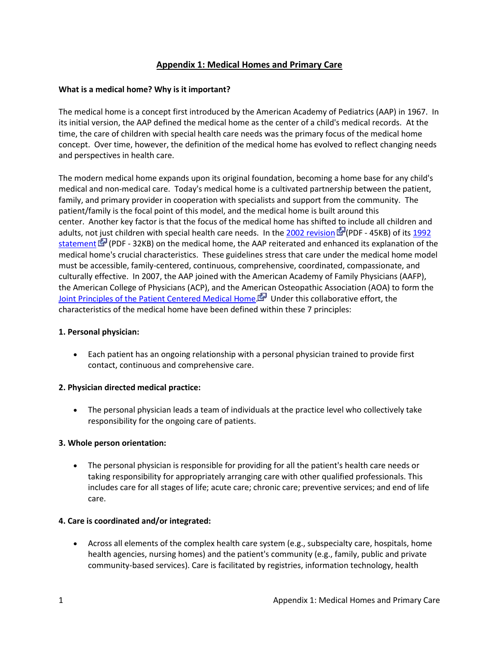# **Appendix 1: Medical Homes and Primary Care**

#### **What is a medical home? Why is it important?**

The medical home is a concept first introduced by the American Academy of Pediatrics (AAP) in 1967. In its initial version, the AAP defined the medical home as the center of a child's medical records. At the time, the care of children with special health care needs was the primary focus of the medical home concept. Over time, however, the definition of the medical home has evolved to reflect changing needs and perspectives in health care.

The modern medical home expands upon its original foundation, becoming a home base for any child's medical and non-medical care. Today's medical home is a cultivated partnership between the patient, family, and primary provider in cooperation with specialists and support from the community. The patient/family is the focal point of this model, and the medical home is built around this center. Another key factor is that the focus of the medical home has shifted to include all children and adults, not just children with special health care needs. In the [2002 revision](http://aappolicy.aappublications.org/cgi/reprint/pediatrics;110/1/184.pdf) FP(PDF - 45KB) of its 1992 [statement](http://pediatrics.aappublications.org/cgi/reprint/90/5/774.pdf)  $\mathbb{F}$  (PDF - 32KB) on the medical home, the AAP reiterated and enhanced its explanation of the medical home's crucial characteristics. These guidelines stress that care under the medical home model must be accessible, family-centered, continuous, comprehensive, coordinated, compassionate, and culturally effective. In 2007, the AAP joined with the American Academy of Family Physicians (AAFP), the American College of Physicians (ACP), and the American Osteopathic Association (AOA) to form the [Joint Principles of the Patient Centered Medical Home.](http://www.pcpcc.net/content/joint-principles-patient-centered-medical-home) For Under this collaborative effort, the characteristics of the medical home have been defined within these 7 principles:

#### **1. Personal physician:**

 Each patient has an ongoing relationship with a personal physician trained to provide first contact, continuous and comprehensive care.

#### **2. Physician directed medical practice:**

 The personal physician leads a team of individuals at the practice level who collectively take responsibility for the ongoing care of patients.

#### **3. Whole person orientation:**

 The personal physician is responsible for providing for all the patient's health care needs or taking responsibility for appropriately arranging care with other qualified professionals. This includes care for all stages of life; acute care; chronic care; preventive services; and end of life care.

#### **4. Care is coordinated and/or integrated:**

 Across all elements of the complex health care system (e.g., subspecialty care, hospitals, home health agencies, nursing homes) and the patient's community (e.g., family, public and private community-based services). Care is facilitated by registries, information technology, health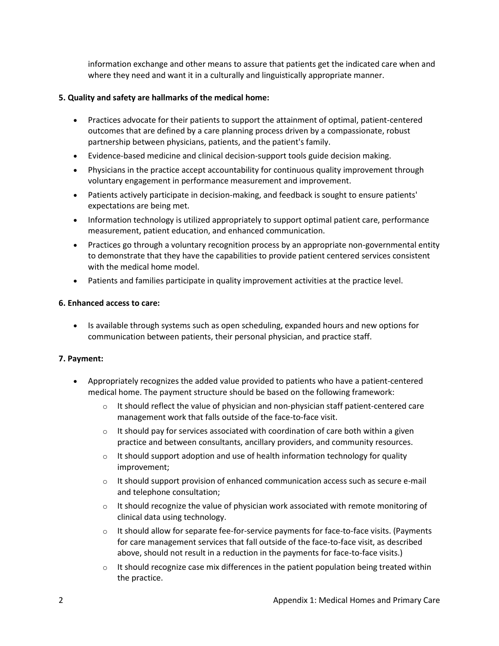information exchange and other means to assure that patients get the indicated care when and where they need and want it in a culturally and linguistically appropriate manner.

### **5. Quality and safety are hallmarks of the medical home:**

- Practices advocate for their patients to support the attainment of optimal, patient-centered outcomes that are defined by a care planning process driven by a compassionate, robust partnership between physicians, patients, and the patient's family.
- Evidence-based medicine and clinical decision-support tools guide decision making.
- Physicians in the practice accept accountability for continuous quality improvement through voluntary engagement in performance measurement and improvement.
- Patients actively participate in decision-making, and feedback is sought to ensure patients' expectations are being met.
- Information technology is utilized appropriately to support optimal patient care, performance measurement, patient education, and enhanced communication.
- Practices go through a voluntary recognition process by an appropriate non-governmental entity to demonstrate that they have the capabilities to provide patient centered services consistent with the medical home model.
- Patients and families participate in quality improvement activities at the practice level.

#### **6. Enhanced access to care:**

• Is available through systems such as open scheduling, expanded hours and new options for communication between patients, their personal physician, and practice staff.

## **7. Payment:**

- Appropriately recognizes the added value provided to patients who have a patient-centered medical home. The payment structure should be based on the following framework:
	- $\circ$  It should reflect the value of physician and non-physician staff patient-centered care management work that falls outside of the face-to-face visit.
	- $\circ$  It should pay for services associated with coordination of care both within a given practice and between consultants, ancillary providers, and community resources.
	- $\circ$  It should support adoption and use of health information technology for quality improvement;
	- $\circ$  It should support provision of enhanced communication access such as secure e-mail and telephone consultation;
	- $\circ$  It should recognize the value of physician work associated with remote monitoring of clinical data using technology.
	- $\circ$  It should allow for separate fee-for-service payments for face-to-face visits. (Payments for care management services that fall outside of the face-to-face visit, as described above, should not result in a reduction in the payments for face-to-face visits.)
	- $\circ$  It should recognize case mix differences in the patient population being treated within the practice.